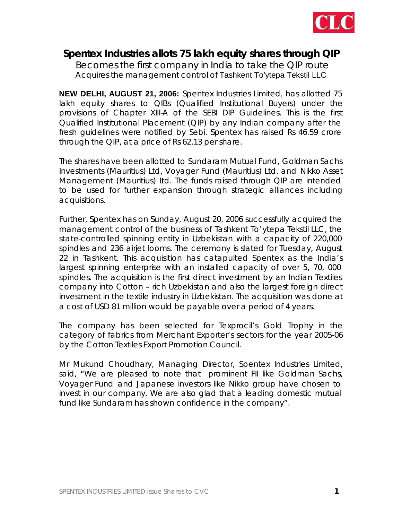

## **Spentex Industries allots 75 lakh equity shares through QIP**

 *Becomes the first company in India to take the QIP route* Acquires the management control of Tashkent To'ytepa Tekstil LLC

**NEW DELHI, AUGUST 21, 2006:** Spentex Industries Limited, has allotted 75 lakh equity shares to QIBs (Qualified Institutional Buyers) under the provisions of Chapter XIII-A of the SEBI DIP Guidelines. This is the first Qualified Institutional Placement (QIP) by any Indian company after the fresh guidelines were notified by Sebi. Spentex has raised Rs 46.59 crore through the QIP, at a price of Rs 62.13 per share.

The shares have been allotted to Sundaram Mutual Fund, Goldman Sachs Investments (Mauritius) Ltd, Voyager Fund (Mauritius) Ltd. and Nikko Asset Management (Mauritius) Ltd. The funds raised through QIP are intended to be used for further expansion through strategic alliances including acquisitions.

Further, Spentex has on Sunday, August 20, 2006 successfully acquired the management control of the business of Tashkent To'ytepa Tekstil LLC, the state-controlled spinning entity in Uzbekistan with a capacity of 220,000 spindles and 236 airjet looms. The ceremony is slated for Tuesday, August 22 in Tashkent. This acquisition has catapulted Spentex as the India's largest spinning enterprise with an installed capacity of over 5, 70, 000 spindles. The acquisition is the first direct investment by an Indian Textiles company into Cotton – rich Uzbekistan and also the largest foreign direct investment in the textile industry in Uzbekistan. The acquisition was done at a cost of USD 81 million would be payable over a period of 4 years.

The company has been selected for Texprocil's Gold Trophy in the category of fabrics from Merchant Exporter's sectors for the year 2005-06 by the Cotton Textiles Export Promotion Council.

Mr Mukund Choudhary, Managing Director, Spentex Industries Limited, said, "We are pleased to note that prominent FII like Goldman Sachs, Voyager Fund and Japanese investors like Nikko group have chosen to invest in our company. We are also glad that a leading domestic mutual fund like Sundaram has shown confidence in the company".